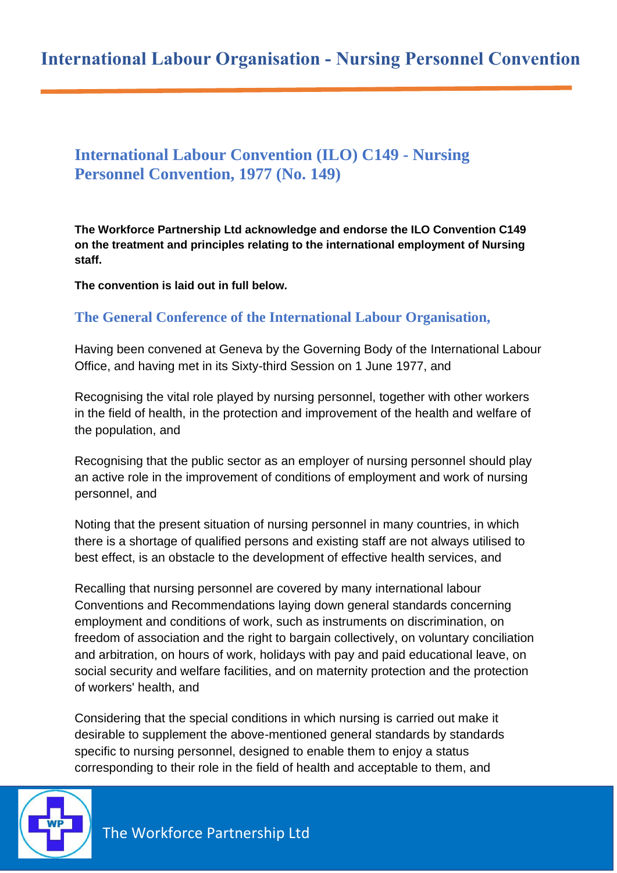# **International Labour Convention (ILO) C149 - Nursing Personnel Convention, 1977 (No. 149)**

**The Workforce Partnership Ltd acknowledge and endorse the ILO Convention C149 on the treatment and principles relating to the international employment of Nursing staff.**

**The convention is laid out in full below.**

# **The General Conference of the International Labour Organisation,**

Having been convened at Geneva by the Governing Body of the International Labour Office, and having met in its Sixty-third Session on 1 June 1977, and

Recognising the vital role played by nursing personnel, together with other workers in the field of health, in the protection and improvement of the health and welfare of the population, and

Recognising that the public sector as an employer of nursing personnel should play an active role in the improvement of conditions of employment and work of nursing personnel, and

Noting that the present situation of nursing personnel in many countries, in which there is a shortage of qualified persons and existing staff are not always utilised to best effect, is an obstacle to the development of effective health services, and

Recalling that nursing personnel are covered by many international labour Conventions and Recommendations laying down general standards concerning employment and conditions of work, such as instruments on discrimination, on freedom of association and the right to bargain collectively, on voluntary conciliation and arbitration, on hours of work, holidays with pay and paid educational leave, on social security and welfare facilities, and on maternity protection and the protection of workers' health, and

Considering that the special conditions in which nursing is carried out make it desirable to supplement the above-mentioned general standards by standards specific to nursing personnel, designed to enable them to enjoy a status corresponding to their role in the field of health and acceptable to them, and

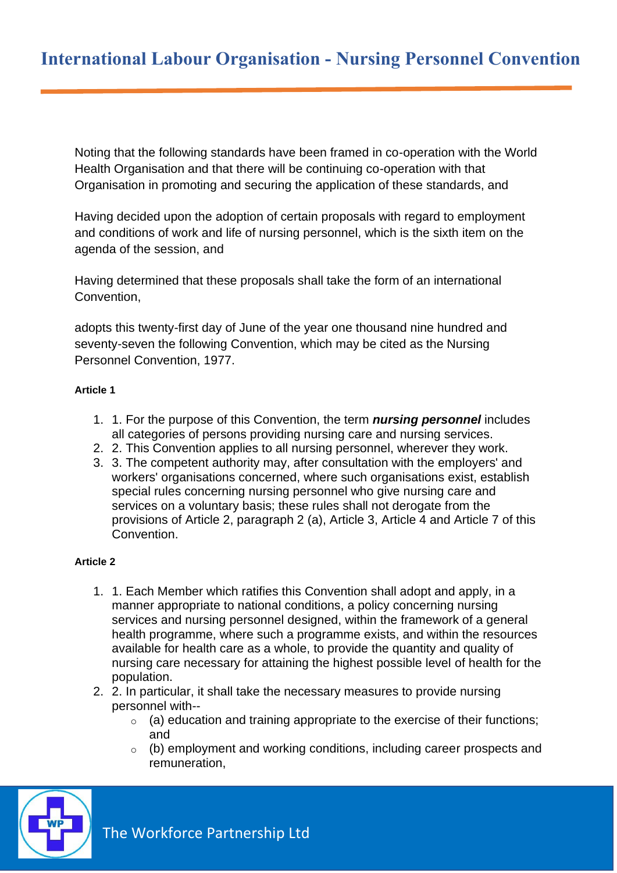Noting that the following standards have been framed in co-operation with the World Health Organisation and that there will be continuing co-operation with that Organisation in promoting and securing the application of these standards, and

Having decided upon the adoption of certain proposals with regard to employment and conditions of work and life of nursing personnel, which is the sixth item on the agenda of the session, and

Having determined that these proposals shall take the form of an international Convention,

adopts this twenty-first day of June of the year one thousand nine hundred and seventy-seven the following Convention, which may be cited as the Nursing Personnel Convention, 1977.

# **Article 1**

- 1. 1. For the purpose of this Convention, the term *nursing personnel* includes all categories of persons providing nursing care and nursing services.
- 2. 2. This Convention applies to all nursing personnel, wherever they work.
- 3. 3. The competent authority may, after consultation with the employers' and workers' organisations concerned, where such organisations exist, establish special rules concerning nursing personnel who give nursing care and services on a voluntary basis; these rules shall not derogate from the provisions of Article 2, paragraph 2 (a), Article 3, Article 4 and Article 7 of this Convention.

## **Article 2**

- 1. 1. Each Member which ratifies this Convention shall adopt and apply, in a manner appropriate to national conditions, a policy concerning nursing services and nursing personnel designed, within the framework of a general health programme, where such a programme exists, and within the resources available for health care as a whole, to provide the quantity and quality of nursing care necessary for attaining the highest possible level of health for the population.
- 2. 2. In particular, it shall take the necessary measures to provide nursing personnel with--
	- $\circ$  (a) education and training appropriate to the exercise of their functions; and
	- o (b) employment and working conditions, including career prospects and remuneration,

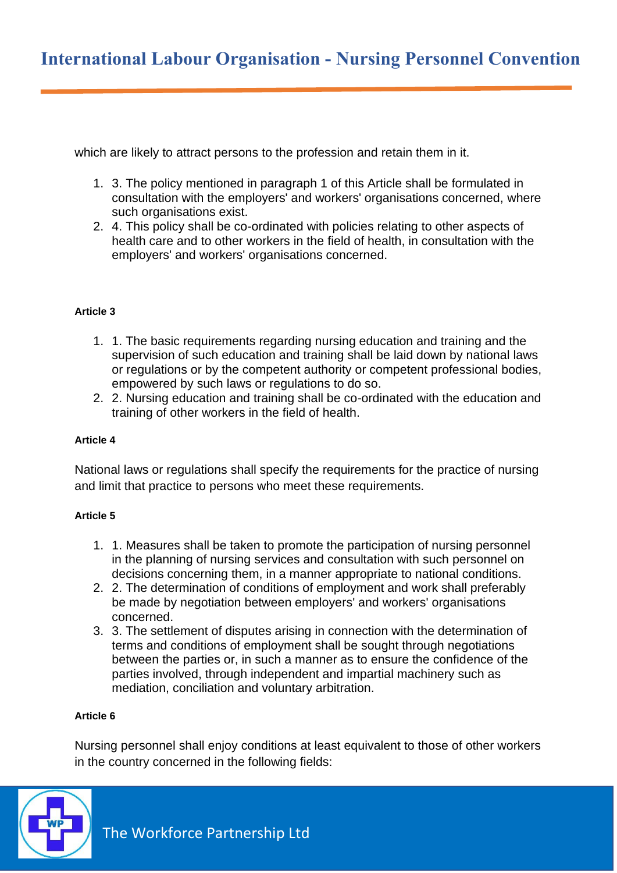which are likely to attract persons to the profession and retain them in it.

- 1. 3. The policy mentioned in paragraph 1 of this Article shall be formulated in consultation with the employers' and workers' organisations concerned, where such organisations exist.
- 2. 4. This policy shall be co-ordinated with policies relating to other aspects of health care and to other workers in the field of health, in consultation with the employers' and workers' organisations concerned.

## **Article 3**

- 1. 1. The basic requirements regarding nursing education and training and the supervision of such education and training shall be laid down by national laws or regulations or by the competent authority or competent professional bodies, empowered by such laws or regulations to do so.
- 2. 2. Nursing education and training shall be co-ordinated with the education and training of other workers in the field of health.

## **Article 4**

National laws or regulations shall specify the requirements for the practice of nursing and limit that practice to persons who meet these requirements.

## **Article 5**

- 1. 1. Measures shall be taken to promote the participation of nursing personnel in the planning of nursing services and consultation with such personnel on decisions concerning them, in a manner appropriate to national conditions.
- 2. 2. The determination of conditions of employment and work shall preferably be made by negotiation between employers' and workers' organisations concerned.
- 3. 3. The settlement of disputes arising in connection with the determination of terms and conditions of employment shall be sought through negotiations between the parties or, in such a manner as to ensure the confidence of the parties involved, through independent and impartial machinery such as mediation, conciliation and voluntary arbitration.

## **Article 6**

Nursing personnel shall enjoy conditions at least equivalent to those of other workers in the country concerned in the following fields:

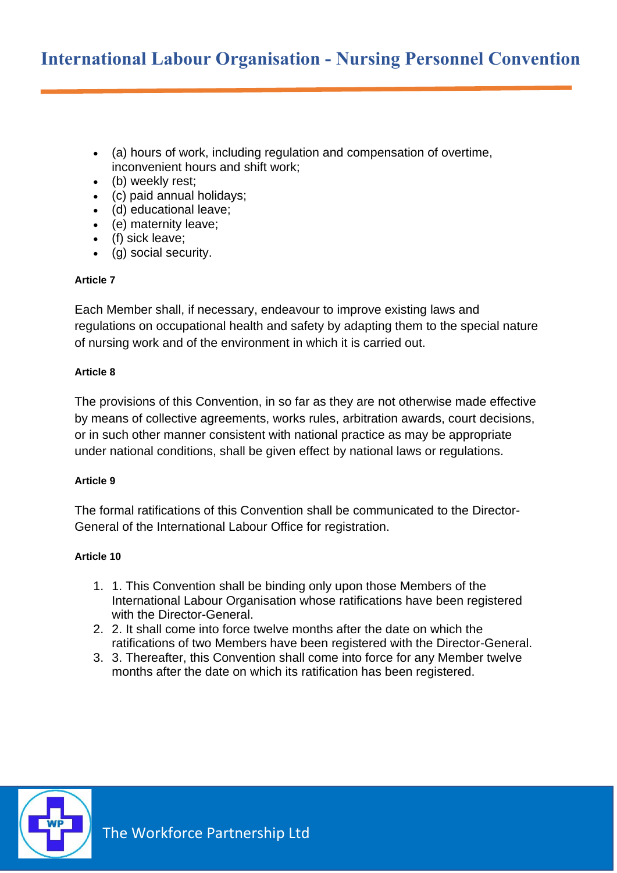- (a) hours of work, including regulation and compensation of overtime, inconvenient hours and shift work;
- (b) weekly rest;
- (c) paid annual holidays;
- (d) educational leave;
- (e) maternity leave;
- (f) sick leave;
- (g) social security.

## **Article 7**

Each Member shall, if necessary, endeavour to improve existing laws and regulations on occupational health and safety by adapting them to the special nature of nursing work and of the environment in which it is carried out.

# **Article 8**

The provisions of this Convention, in so far as they are not otherwise made effective by means of collective agreements, works rules, arbitration awards, court decisions, or in such other manner consistent with national practice as may be appropriate under national conditions, shall be given effect by national laws or regulations.

## **Article 9**

The formal ratifications of this Convention shall be communicated to the Director-General of the International Labour Office for registration.

# **Article 10**

- 1. 1. This Convention shall be binding only upon those Members of the International Labour Organisation whose ratifications have been registered with the Director-General.
- 2. 2. It shall come into force twelve months after the date on which the ratifications of two Members have been registered with the Director-General.
- 3. 3. Thereafter, this Convention shall come into force for any Member twelve months after the date on which its ratification has been registered.

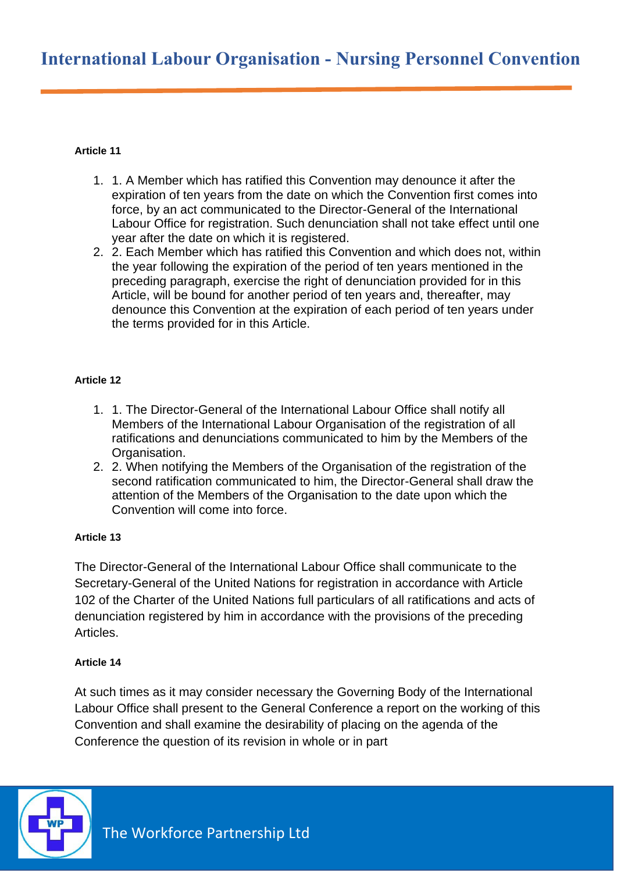# **Article 11**

- 1. 1. A Member which has ratified this Convention may denounce it after the expiration of ten years from the date on which the Convention first comes into force, by an act communicated to the Director-General of the International Labour Office for registration. Such denunciation shall not take effect until one year after the date on which it is registered.
- 2. 2. Each Member which has ratified this Convention and which does not, within the year following the expiration of the period of ten years mentioned in the preceding paragraph, exercise the right of denunciation provided for in this Article, will be bound for another period of ten years and, thereafter, may denounce this Convention at the expiration of each period of ten years under the terms provided for in this Article.

# **Article 12**

- 1. 1. The Director-General of the International Labour Office shall notify all Members of the International Labour Organisation of the registration of all ratifications and denunciations communicated to him by the Members of the Organisation.
- 2. 2. When notifying the Members of the Organisation of the registration of the second ratification communicated to him, the Director-General shall draw the attention of the Members of the Organisation to the date upon which the Convention will come into force.

# **Article 13**

The Director-General of the International Labour Office shall communicate to the Secretary-General of the United Nations for registration in accordance with Article 102 of the Charter of the United Nations full particulars of all ratifications and acts of denunciation registered by him in accordance with the provisions of the preceding Articles.

## **Article 14**

At such times as it may consider necessary the Governing Body of the International Labour Office shall present to the General Conference a report on the working of this Convention and shall examine the desirability of placing on the agenda of the Conference the question of its revision in whole or in part